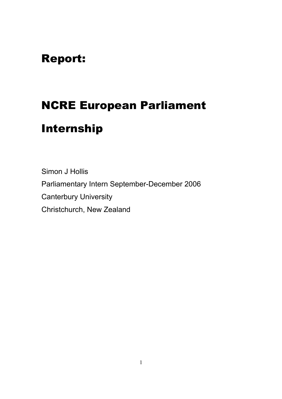### Report:

# NCRE European Parliament

## Internship

Simon J Hollis Parliamentary Intern September-December 2006 Canterbury University Christchurch, New Zealand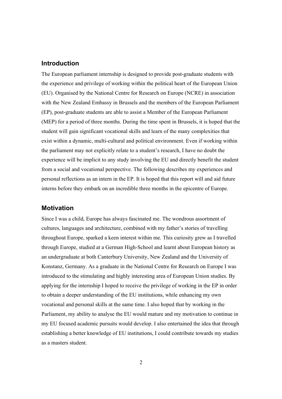#### **Introduction**

The European parliament internship is designed to provide post-graduate students with the experience and privilege of working within the political heart of the European Union (EU). Organised by the National Centre for Research on Europe (NCRE) in association with the New Zealand Embassy in Brussels and the members of the European Parliament (EP), post-graduate students are able to assist a Member of the European Parliament (MEP) for a period of three months. During the time spent in Brussels, it is hoped that the student will gain significant vocational skills and learn of the many complexities that exist within a dynamic, multi-cultural and political environment. Even if working within the parliament may not explicitly relate to a student's research, I have no doubt the experience will be implicit to any study involving the EU and directly benefit the student from a social and vocational perspective. The following describes my experiences and personal reflections as an intern in the EP. It is hoped that this report will and aid future interns before they embark on an incredible three months in the epicentre of Europe.

#### **Motivation**

Since I was a child, Europe has always fascinated me. The wondrous assortment of cultures, languages and architecture, combined with my father's stories of travelling throughout Europe, sparked a keen interest within me. This curiosity grew as I travelled through Europe, studied at a German High-School and learnt about European history as an undergraduate at both Canterbury University, New Zealand and the University of Konstanz, Germany. As a graduate in the National Centre for Research on Europe I was introduced to the stimulating and highly interesting area of European Union studies. By applying for the internship I hoped to receive the privilege of working in the EP in order to obtain a deeper understanding of the EU institutions, while enhancing my own vocational and personal skills at the same time. I also hoped that by working in the Parliament, my ability to analyse the EU would mature and my motivation to continue in my EU focused academic pursuits would develop. I also entertained the idea that through establishing a better knowledge of EU institutions, I could contribute towards my studies as a masters student.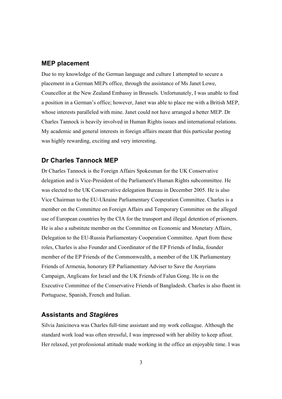#### **MEP placement**

Due to my knowledge of the German language and culture I attempted to secure a placement in a German MEPs office, through the assistance of Ms Janet Lowe, Councellor at the New Zealand Embassy in Brussels. Unfortunately, I was unable to find a position in a German's office; however, Janet was able to place me with a British MEP, whose interests paralleled with mine. Janet could not have arranged a better MEP. Dr Charles Tannock is heavily involved in Human Rights issues and international relations. My academic and general interests in foreign affairs meant that this particular posting was highly rewarding, exciting and very interesting.

#### **Dr Charles Tannock MEP**

Dr Charles Tannock is the Foreign Affairs Spokesman for the UK Conservative delegation and is Vice-President of the Parliament's Human Rights subcommittee. He was elected to the UK Conservative delegation Bureau in December 2005. He is also Vice Chairman to the EU-Ukraine Parliamentary Cooperation Committee. Charles is a member on the Committee on Foreign Affairs and Temporary Committee on the alleged use of European countries by the CIA for the transport and illegal detention of prisoners. He is also a substitute member on the Committee on Economic and Monetary Affairs, Delegation to the EU-Russia Parliamentary Cooperation Committee. Apart from these roles, Charles is also Founder and Coordinator of the EP Friends of India, founder member of the EP Friends of the Commonwealth, a member of the UK Parliamentary Friends of Armenia, honorary EP Parliamentary Adviser to Save the Assyrians Campaign, Anglicans for Israel and the UK Friends of Falun Gong. He is on the Executive Committee of the Conservative Friends of Bangladesh. Charles is also fluent in Portuguese, Spanish, French and Italian.

#### **Assistants and** *Stagières*

Silvia Janicinova was Charles full-time assistant and my work colleague. Although the standard work load was often stressful, I was impressed with her ability to keep afloat. Her relaxed, yet professional attitude made working in the office an enjoyable time. I was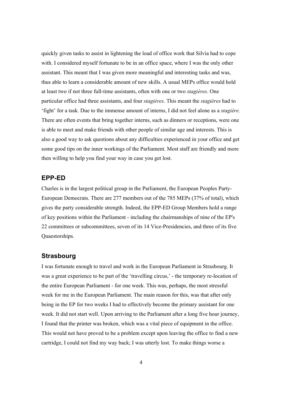quickly given tasks to assist in lightening the load of office work that Silvia had to cope with. I considered myself fortunate to be in an office space, where I was the only other assistant. This meant that I was given more meaningful and interesting tasks and was, thus able to learn a considerable amount of new skills. A usual MEPs office would hold at least two if not three full-time assistants, often with one or two *stagières*. One particular office had three assistants, and four *stagières*. This meant the *stagières* had to 'fight' for a task. Due to the immense amount of interns, I did not feel alone as a *stagière.* There are often events that bring together interns, such as dinners or receptions, were one is able to meet and make friends with other people of similar age and interests. This is also a good way to ask questions about any difficulties experienced in your office and get some good tips on the inner workings of the Parliament. Most staff are friendly and more then willing to help you find your way in case you get lost.

#### **EPP-ED**

Charles is in the largest political group in the Parliament, the European Peoples Party-European Democrats. There are 277 members out of the 785 MEPs (37% of total), which gives the party considerable strength. Indeed, the EPP-ED Group Members hold a range of key positions within the Parliament - including the chairmanships of nine of the EP's 22 committees or subcommittees, seven of its 14 Vice-Presidencies, and three of its five Quaestorships.

#### **Strasbourg**

I was fortunate enough to travel and work in the European Parliament in Strasbourg. It was a great experience to be part of the 'travelling circus,' - the temporary re-location of the entire European Parliament - for one week. This was, perhaps, the most stressful week for me in the European Parliament. The main reason for this, was that after only being in the EP for two weeks I had to effectively become the primary assistant for one week. It did not start well. Upon arriving to the Parliament after a long five hour journey, I found that the printer was broken, which was a vital piece of equipment in the office. This would not have proved to be a problem except upon leaving the office to find a new cartridge, I could not find my way back; I was utterly lost. To make things worse a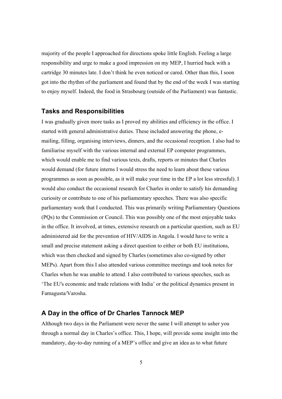majority of the people I approached for directions spoke little English. Feeling a large responsibility and urge to make a good impression on my MEP, I hurried back with a cartridge 30 minutes late. I don't think he even noticed or cared. Other than this, I soon got into the rhythm of the parliament and found that by the end of the week I was starting to enjoy myself. Indeed, the food in Strasbourg (outside of the Parliament) was fantastic.

#### **Tasks and Responsibilities**

I was gradually given more tasks as I proved my abilities and efficiency in the office. I started with general administrative duties. These included answering the phone, emailing, filling, organising interviews, dinners, and the occasional reception. I also had to familiarise myself with the various internal and external EP computer programmes, which would enable me to find various texts, drafts, reports or minutes that Charles would demand (for future interns I would stress the need to learn about these various programmes as soon as possible, as it will make your time in the EP a lot less stressful). I would also conduct the occasional research for Charles in order to satisfy his demanding curiosity or contribute to one of his parliamentary speeches. There was also specific parliamentary work that I conducted. This was primarily writing Parliamentary Questions (PQs) to the Commission or Council. This was possibly one of the most enjoyable tasks in the office. It involved, at times, extensive research on a particular question, such as EU administered aid for the prevention of HIV/AIDS in Angola. I would have to write a small and precise statement asking a direct question to either or both EU institutions, which was then checked and signed by Charles (sometimes also co-signed by other MEPs). Apart from this I also attended various committee meetings and took notes for Charles when he was unable to attend. I also contributed to various speeches, such as 'The EU's economic and trade relations with India' or the political dynamics present in Famagusta/Varosha.

#### **A Day in the office of Dr Charles Tannock MEP**

Although two days in the Parliament were never the same I will attempt to usher you through a normal day in Charles's office. This, I hope, will provide some insight into the mandatory, day-to-day running of a MEP's office and give an idea as to what future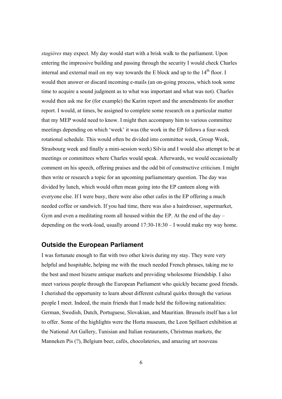*stagières* may expect. My day would start with a brisk walk to the parliament. Upon entering the impressive building and passing through the security I would check Charles internal and external mail on my way towards the  $E$  block and up to the  $14<sup>th</sup>$  floor. I would then answer or discard incoming e-mails (an on-going process, which took some time to acquire a sound judgment as to what was important and what was not). Charles would then ask me for (for example) the Karim report and the amendments for another report. I would, at times, be assigned to complete some research on a particular matter that my MEP would need to know. I might then accompany him to various committee meetings depending on which 'week' it was (the work in the EP follows a four-week rotational schedule. This would often be divided into committee week, Group Week, Strasbourg week and finally a mini-session week) Silvia and I would also attempt to be at meetings or committees where Charles would speak. Afterwards, we would occasionally comment on his speech, offering praises and the odd bit of constructive criticism. I might then write or research a topic for an upcoming parliamentary question. The day was divided by lunch, which would often mean going into the EP canteen along with everyone else. If I were busy, there were also other cafes in the EP offering a much needed coffee or sandwich. If you had time, there was also a hairdresser, supermarket, Gym and even a meditating room all housed within the EP. At the end of the day – depending on the work-load, usually around 17:30-18:30 – I would make my way home.

#### **Outside the European Parliament**

I was fortunate enough to flat with two other kiwis during my stay. They were very helpful and hospitable, helping me with the much needed French phrases, taking me to the best and most bizarre antique markets and providing wholesome friendship. I also meet various people through the European Parliament who quickly became good friends. I cherished the opportunity to learn about different cultural quirks through the various people I meet. Indeed, the main friends that I made held the following nationalities: German, Swedish, Dutch, Portuguese, Slovakian, and Mauritian. Brussels itself has a lot to offer. Some of the highlights were the Horta museum, the Leon Spillaert exhibition at the National Art Gallery, Tunisian and Italian restaurants, Christmas markets, the Manneken Pis (?), Belgium beer, cafés, chocolateries, and amazing art nouveau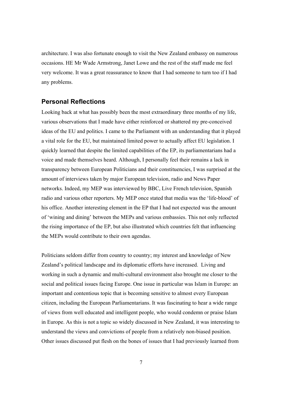architecture. I was also fortunate enough to visit the New Zealand embassy on numerous occasions. HE Mr Wade Armstrong, Janet Lowe and the rest of the staff made me feel very welcome. It was a great reassurance to know that I had someone to turn too if I had any problems.

#### **Personal Reflections**

Looking back at what has possibly been the most extraordinary three months of my life, various observations that I made have either reinforced or shattered my pre-conceived ideas of the EU and politics. I came to the Parliament with an understanding that it played a vital role for the EU, but maintained limited power to actually affect EU legislation. I quickly learned that despite the limited capabilities of the EP, its parliamentarians had a voice and made themselves heard. Although, I personally feel their remains a lack in transparency between European Politicians and their constituencies, I was surprised at the amount of interviews taken by major European television, radio and News Paper networks. Indeed, my MEP was interviewed by BBC, Live French television, Spanish radio and various other reporters. My MEP once stated that media was the 'life-blood' of his office. Another interesting element in the EP that I had not expected was the amount of 'wining and dining' between the MEPs and various embassies. This not only reflected the rising importance of the EP, but also illustrated which countries felt that influencing the MEPs would contribute to their own agendas.

Politicians seldom differ from country to country; my interest and knowledge of New Zealand's political landscape and its diplomatic efforts have increased. Living and working in such a dynamic and multi-cultural environment also brought me closer to the social and political issues facing Europe. One issue in particular was Islam in Europe: an important and contentious topic that is becoming sensitive to almost every European citizen, including the European Parliamentarians. It was fascinating to hear a wide range of views from well educated and intelligent people, who would condemn or praise Islam in Europe. As this is not a topic so widely discussed in New Zealand, it was interesting to understand the views and convictions of people from a relatively non-biased position. Other issues discussed put flesh on the bones of issues that I had previously learned from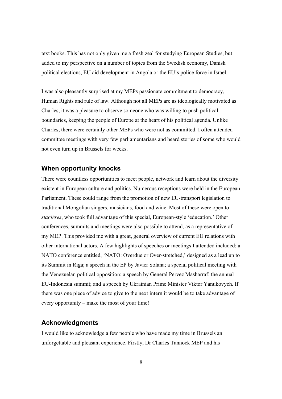text books. This has not only given me a fresh zeal for studying European Studies, but added to my perspective on a number of topics from the Swedish economy, Danish political elections, EU aid development in Angola or the EU's police force in Israel.

I was also pleasantly surprised at my MEPs passionate commitment to democracy, Human Rights and rule of law. Although not all MEPs are as ideologically motivated as Charles, it was a pleasure to observe someone who was willing to push political boundaries, keeping the people of Europe at the heart of his political agenda. Unlike Charles, there were certainly other MEPs who were not as committed. I often attended committee meetings with very few parliamentarians and heard stories of some who would not even turn up in Brussels for weeks.

#### **When opportunity knocks**

There were countless opportunities to meet people, network and learn about the diversity existent in European culture and politics. Numerous receptions were held in the European Parliament. These could range from the promotion of new EU-transport legislation to traditional Mongolian singers, musicians, food and wine. Most of these were open to *stagières*, who took full advantage of this special, European-style 'education.' Other conferences, summits and meetings were also possible to attend, as a representative of my MEP. This provided me with a great, general overview of current EU relations with other international actors. A few highlights of speeches or meetings I attended included: a NATO conference entitled, 'NATO: Overdue or Over-stretched,' designed as a lead up to its Summit in Riga; a speech in the EP by Javier Solana; a special political meeting with the Venezuelan political opposition; a speech by General Pervez Masharraf; the annual EU-Indonesia summit; and a speech by Ukrainian Prime Minister Viktor Yanukovych. If there was one piece of advice to give to the next intern it would be to take advantage of every opportunity – make the most of your time!

#### **Acknowledgments**

I would like to acknowledge a few people who have made my time in Brussels an unforgettable and pleasant experience. Firstly, Dr Charles Tannock MEP and his